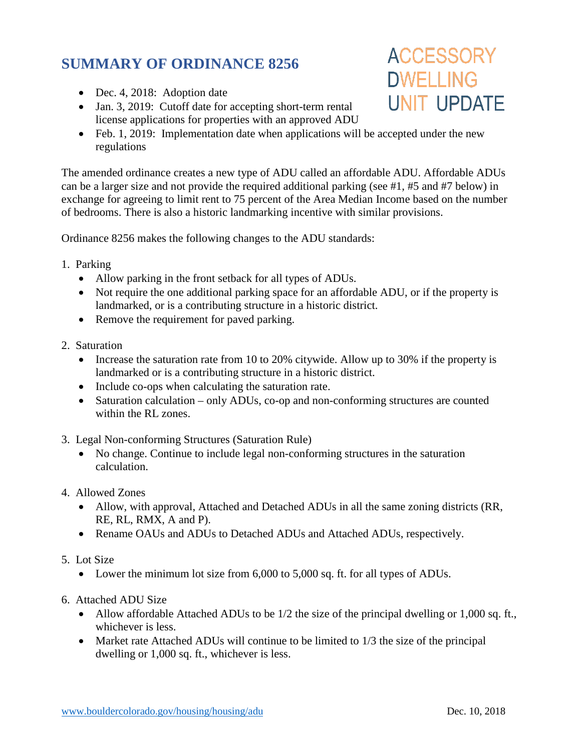## **SUMMARY OF ORDINANCE 8256**

- Dec. 4, 2018: Adoption date
- Jan. 3, 2019: Cutoff date for accepting short-term rental license applications for properties with an approved ADU
- Feb. 1, 2019: Implementation date when applications will be accepted under the new regulations

The amended ordinance creates a new type of ADU called an affordable ADU. Affordable ADUs can be a larger size and not provide the required additional parking (see #1, #5 and #7 below) in exchange for agreeing to limit rent to 75 percent of the Area Median Income based on the number of bedrooms. There is also a historic landmarking incentive with similar provisions.

Ordinance 8256 makes the following changes to the ADU standards:

- 1. Parking
	- Allow parking in the front setback for all types of ADUs.
	- Not require the one additional parking space for an affordable ADU, or if the property is landmarked, or is a contributing structure in a historic district.
	- Remove the requirement for paved parking.
- 2. Saturation
	- Increase the saturation rate from 10 to 20% citywide. Allow up to 30% if the property is landmarked or is a contributing structure in a historic district.
	- Include co-ops when calculating the saturation rate.
	- Saturation calculation only ADUs, co-op and non-conforming structures are counted within the RL zones.
- 3. Legal Non-conforming Structures (Saturation Rule)
	- No change. Continue to include legal non-conforming structures in the saturation calculation.
- 4. Allowed Zones
	- Allow, with approval, Attached and Detached ADUs in all the same zoning districts (RR, RE, RL, RMX, A and P).
	- Rename OAUs and ADUs to Detached ADUs and Attached ADUs, respectively.
- 5. Lot Size
	- Lower the minimum lot size from 6,000 to 5,000 sq. ft. for all types of ADUs.
- 6. Attached ADU Size
	- Allow affordable Attached ADUs to be 1/2 the size of the principal dwelling or 1,000 sq. ft., whichever is less.
	- Market rate Attached ADUs will continue to be limited to 1/3 the size of the principal dwelling or 1,000 sq. ft., whichever is less.